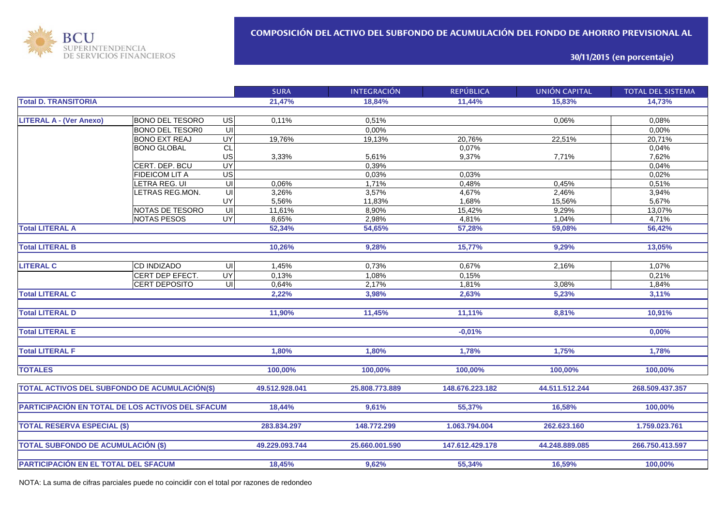

**30/11/2015 (en porcentaje)**

|                                                  |                        |                         | <b>SURA</b>    | <b>INTEGRACIÓN</b> | <b>REPÚBLICA</b> | <b>UNIÓN CAPITAL</b> | <b>TOTAL DEL SISTEMA</b> |
|--------------------------------------------------|------------------------|-------------------------|----------------|--------------------|------------------|----------------------|--------------------------|
| <b>Total D. TRANSITORIA</b>                      |                        |                         | 21,47%         | 18,84%             | 11,44%           | 15.83%               | 14,73%                   |
|                                                  |                        |                         |                |                    |                  |                      |                          |
| <b>LITERAL A - (Ver Anexo)</b>                   | <b>BONO DEL TESORO</b> | $\overline{G}$          | 0,11%          | 0,51%              |                  | 0,06%                | 0,08%                    |
|                                                  | <b>BONO DEL TESOR0</b> | $\overline{\mathsf{C}}$ |                | 0,00%              |                  |                      | 0,00%                    |
|                                                  | <b>BONO EXT REAJ</b>   | <b>UY</b>               | 19,76%         | 19,13%             | 20.76%           | 22,51%               | 20,71%                   |
|                                                  | <b>BONO GLOBAL</b>     | CL                      |                |                    | 0,07%            |                      | 0,04%                    |
|                                                  |                        | US                      | 3,33%          | 5,61%              | 9,37%            | 7,71%                | 7,62%                    |
|                                                  | CERT. DEP. BCU         | <b>UY</b>               |                | 0,39%              |                  |                      | 0,04%                    |
|                                                  | <b>FIDEICOM LIT A</b>  | $\overline{G}$          |                | 0,03%              | 0,03%            |                      | 0,02%                    |
|                                                  | LETRA REG. UI          | U <sub>l</sub>          | 0,06%          | 1,71%              | 0,48%            | 0,45%                | 0,51%                    |
|                                                  | LETRAS REG.MON.        | UI                      | 3,26%          | 3,57%              | 4,67%            | 2,46%                | 3,94%                    |
|                                                  |                        | UY                      | 5,56%          | 11,83%             | 1,68%            | 15,56%               | 5,67%                    |
|                                                  | NOTAS DE TESORO        | $\subseteq$             | 11,61%         | 8,90%              | 15,42%           | 9,29%                | 13,07%                   |
|                                                  | <b>NOTAS PESOS</b>     | <b>UY</b>               | 8,65%          | 2,98%              | 4,81%            | 1,04%                | 4,71%                    |
| <b>Total LITERAL A</b>                           |                        |                         | 52,34%         | 54,65%             | 57,28%           | 59,08%               | 56,42%                   |
|                                                  |                        |                         |                |                    |                  |                      |                          |
| <b>Total LITERAL B</b>                           |                        |                         | 10,26%         | 9,28%              | 15,77%           | 9,29%                | 13,05%                   |
|                                                  |                        |                         |                |                    |                  |                      |                          |
| <b>LITERAL C</b>                                 | CD INDIZADO            | $\equiv$                | 1,45%          | 0,73%              | 0,67%            | 2,16%                | 1,07%                    |
|                                                  | CERT DEP EFECT.        | <b>UY</b>               | 0,13%          | 1,08%              | 0,15%            |                      | 0,21%                    |
|                                                  | <b>CERT DEPOSITO</b>   | $\overline{U}$          | 0,64%          | 2,17%              | 1,81%            | 3,08%                | 1,84%                    |
| <b>Total LITERAL C</b>                           |                        |                         | 2,22%          | 3,98%              | 2,63%            | 5,23%                | 3,11%                    |
|                                                  |                        |                         |                |                    |                  |                      |                          |
| <b>Total LITERAL D</b>                           |                        |                         | 11,90%         | 11,45%             | 11,11%           | 8,81%                | 10,91%                   |
|                                                  |                        |                         |                |                    |                  |                      |                          |
| <b>Total LITERAL E</b>                           |                        |                         |                |                    | $-0,01%$         |                      | 0,00%                    |
|                                                  |                        |                         |                |                    |                  |                      |                          |
| <b>Total LITERAL F</b>                           |                        |                         | 1,80%          | 1,80%              | 1,78%            | 1,75%                | 1,78%                    |
|                                                  |                        |                         |                |                    |                  |                      |                          |
| <b>TOTALES</b>                                   |                        |                         | 100,00%        | 100,00%            | 100,00%          | 100,00%              | 100,00%                  |
|                                                  |                        |                         |                |                    |                  |                      |                          |
| TOTAL ACTIVOS DEL SUBFONDO DE ACUMULACIÓN(\$)    |                        |                         | 49.512.928.041 | 25.808.773.889     | 148.676.223.182  | 44.511.512.244       | 268.509.437.357          |
|                                                  |                        |                         |                |                    |                  |                      |                          |
| PARTICIPACIÓN EN TOTAL DE LOS ACTIVOS DEL SFACUM |                        |                         | 18,44%         | 9,61%              | 55,37%           | 16,58%               | 100,00%                  |
|                                                  |                        |                         |                |                    |                  |                      |                          |
| <b>TOTAL RESERVA ESPECIAL (\$)</b>               |                        |                         | 283.834.297    | 148.772.299        | 1.063.794.004    | 262.623.160          | 1.759.023.761            |
|                                                  |                        |                         |                |                    |                  |                      |                          |
| <b>TOTAL SUBFONDO DE ACUMULACIÓN (\$)</b>        |                        |                         | 49.229.093.744 | 25.660.001.590     | 147.612.429.178  | 44.248.889.085       | 266.750.413.597          |
|                                                  |                        |                         |                |                    |                  |                      |                          |
|                                                  |                        |                         | 18,45%         | 9,62%              | 55,34%           | 16,59%               | 100,00%                  |
| PARTICIPACIÓN EN EL TOTAL DEL SFACUM             |                        |                         |                |                    |                  |                      |                          |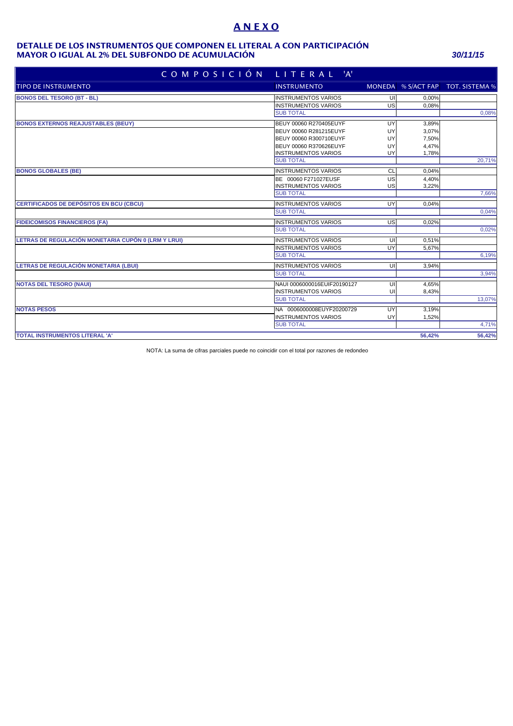# **A N E X O**

#### **MAYOR O IGUAL AL 2% DEL SUBFONDO DE ACUMULACIÓN** *30/11/15* **DETALLE DE LOS INSTRUMENTOS QUE COMPONEN EL LITERAL A CON PARTICIPACIÓN**

| COMPOSICIÓN                                         | LITERAL<br>$^{\prime}$ A'   |    |        |                                   |
|-----------------------------------------------------|-----------------------------|----|--------|-----------------------------------|
| <b>TIPO DE INSTRUMENTO</b>                          | <b>INSTRUMENTO</b>          |    |        | MONEDA % S/ACT FAP TOT. SISTEMA % |
| <b>BONOS DEL TESORO (BT - BL)</b>                   | <b>INSTRUMENTOS VARIOS</b>  | UI | 0,00%  |                                   |
|                                                     | <b>INSTRUMENTOS VARIOS</b>  | US | 0.08%  |                                   |
|                                                     | <b>SUB TOTAL</b>            |    |        | 0,08%                             |
| <b>BONOS EXTERNOS REAJUSTABLES (BEUY)</b>           | BEUY 00060 R270405EUYF      | UY | 3,89%  |                                   |
|                                                     | BEUY 00060 R281215EUYF      | UY | 3,07%  |                                   |
|                                                     | BEUY 00060 R300710EUYF      | UY | 7,50%  |                                   |
|                                                     | BEUY 00060 R370626EUYF      | UY | 4,47%  |                                   |
|                                                     | <b>INSTRUMENTOS VARIOS</b>  | UY | 1,78%  |                                   |
|                                                     | <b>SUB TOTAL</b>            |    |        | 20,71%                            |
| <b>BONOS GLOBALES (BE)</b>                          | <b>INSTRUMENTOS VARIOS</b>  | CL | 0.04%  |                                   |
|                                                     | BE 00060 F271027EUSF        | US | 4,40%  |                                   |
|                                                     | <b>INSTRUMENTOS VARIOS</b>  | US | 3,22%  |                                   |
|                                                     | <b>SUB TOTAL</b>            |    |        | 7,66%                             |
| CERTIFICADOS DE DEPÓSITOS EN BCU (CBCU)             | <b>INSTRUMENTOS VARIOS</b>  | UY | 0,04%  |                                   |
|                                                     | <b>SUB TOTAL</b>            |    |        | 0,04%                             |
| <b>FIDEICOMISOS FINANCIEROS (FA)</b>                | <b>INSTRUMENTOS VARIOS</b>  | US | 0,02%  |                                   |
|                                                     | <b>SUB TOTAL</b>            |    |        | 0,02%                             |
| LETRAS DE REGULACIÓN MONETARIA CUPÓN 0 (LRM Y LRUI) | <b>INSTRUMENTOS VARIOS</b>  | UI | 0,51%  |                                   |
|                                                     | <b>INSTRUMENTOS VARIOS</b>  | UY | 5,67%  |                                   |
|                                                     | <b>SUB TOTAL</b>            |    |        | 6,19%                             |
| LETRAS DE REGULACIÓN MONETARIA (LBUI)               | <b>INSTRUMENTOS VARIOS</b>  | UI | 3,94%  |                                   |
|                                                     | <b>SUB TOTAL</b>            |    |        | 3,94%                             |
| <b>NOTAS DEL TESORO (NAUI)</b>                      | NAUI 0006000016EUIF20190127 | UI | 4,65%  |                                   |
|                                                     | <b>INSTRUMENTOS VARIOS</b>  | UI | 8,43%  |                                   |
|                                                     | <b>SUB TOTAL</b>            |    |        | 13,07%                            |
| <b>NOTAS PESOS</b>                                  | NA 0006000008EUYF20200729   | UY | 3,19%  |                                   |
|                                                     | <b>INSTRUMENTOS VARIOS</b>  | UY | 1,52%  |                                   |
|                                                     | <b>SUB TOTAL</b>            |    |        | 4,71%                             |
| <b>TOTAL INSTRUMENTOS LITERAL 'A'</b>               |                             |    | 56.42% | 56,42%                            |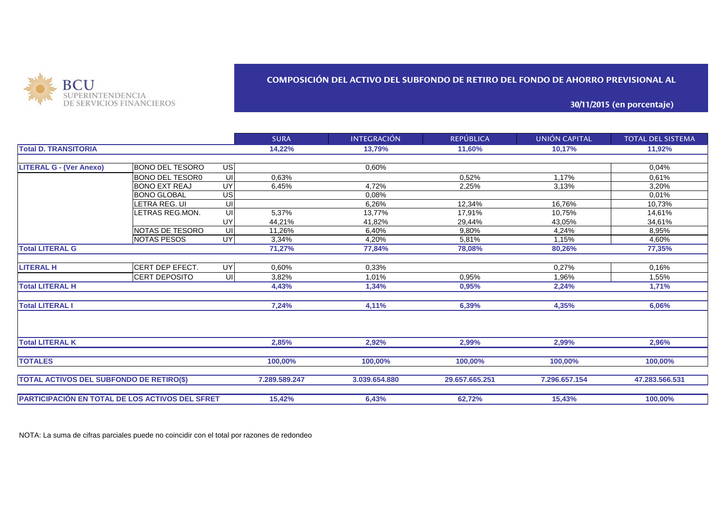

#### **COMPOSICIÓN DEL ACTIVO DEL SUBFONDO DE RETIRO DEL FONDO DE AHORRO PREVISIONAL AL**

**30/11/2015 (en porcentaje)**

|                                                 |                        |           | <b>SURA</b>   | <b>INTEGRACIÓN</b> | <b>REPÚBLICA</b> | UNIÓN CAPITAL | <b>TOTAL DEL SISTEMA</b> |
|-------------------------------------------------|------------------------|-----------|---------------|--------------------|------------------|---------------|--------------------------|
| <b>Total D. TRANSITORIA</b>                     |                        |           | 14,22%        | 13,79%             | 11,60%           | 10,17%        | 11,92%                   |
|                                                 |                        |           |               |                    |                  |               |                          |
| <b>LITERAL G - (Ver Anexo)</b>                  | BONO DEL TESORO        | <b>US</b> |               | 0,60%              |                  |               | 0,04%                    |
|                                                 | <b>BONO DEL TESOR0</b> | $\equiv$  | 0,63%         |                    | 0.52%            | 1,17%         | 0,61%                    |
|                                                 | <b>BONO EXT REAJ</b>   | <b>UY</b> | 6,45%         | 4,72%              | 2,25%            | 3,13%         | 3,20%                    |
|                                                 | <b>BONO GLOBAL</b>     | <b>US</b> |               | 0.08%              |                  |               | 0.01%                    |
|                                                 | LETRA REG. UI          | υıl       |               | 6,26%              | 12.34%           | 16.76%        | 10,73%                   |
|                                                 | LETRAS REG.MON.        | UI        | 5,37%         | 13,77%             | 17,91%           | 10,75%        | 14,61%                   |
|                                                 |                        | <b>UY</b> | 44,21%        | 41,82%             | 29,44%           | 43,05%        | 34,61%                   |
|                                                 | <b>NOTAS DE TESORO</b> | UI        | 11.26%        | 6.40%              | 9.80%            | 4,24%         | 8,95%                    |
|                                                 | <b>NOTAS PESOS</b>     | <b>UY</b> | 3,34%         | 4,20%              | 5,81%            | 1,15%         | 4,60%                    |
| <b>Total LITERAL G</b>                          |                        |           | 71,27%        | 77,84%             | 78,08%           | 80,26%        | 77,35%                   |
|                                                 |                        |           |               |                    |                  |               |                          |
| <b>LITERAL H</b>                                | CERT DEP EFECT.        | <b>UY</b> | 0,60%         | 0.33%              |                  | 0,27%         | 0.16%                    |
|                                                 | <b>CERT DEPOSITO</b>   | UI        | 3,82%         | 1,01%              | 0,95%            | 1,96%         | 1,55%                    |
| <b>Total LITERAL H</b>                          |                        |           | 4,43%         | 1,34%              | 0,95%            | 2,24%         | 1,71%                    |
| <b>Total LITERAL I</b>                          |                        |           | 7,24%         | 4,11%              | 6,39%            | 4,35%         | 6,06%                    |
| <b>Total LITERAL K</b>                          |                        |           | 2,85%         | 2,92%              | 2,99%            | 2,99%         | 2,96%                    |
| <b>TOTALES</b>                                  |                        |           | 100,00%       | 100,00%            | 100,00%          | 100,00%       | 100,00%                  |
|                                                 |                        |           |               |                    |                  |               |                          |
| <b>TOTAL ACTIVOS DEL SUBFONDO DE RETIRO(\$)</b> |                        |           | 7.289.589.247 | 3.039.654.880      | 29.657.665.251   | 7.296.657.154 | 47.283.566.531           |
| PARTICIPACIÓN EN TOTAL DE LOS ACTIVOS DEL SFRET |                        |           | 15,42%        | 6,43%              | 62,72%           | 15,43%        | 100,00%                  |